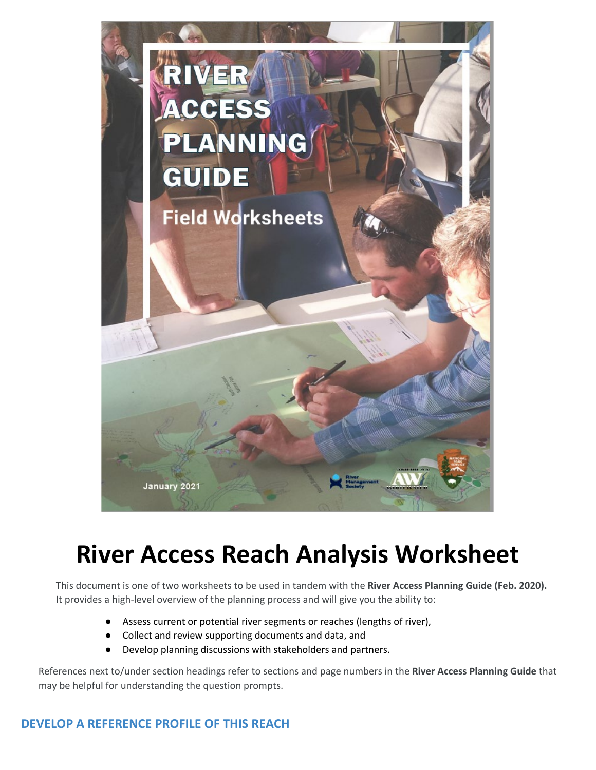

# **River Access Reach Analysis Worksheet**

This document is one of two worksheets to be used in tandem with the **River Access Planning Guide (Feb. 2020).**  It provides a high-level overview of the planning process and will give you the ability to:

- Assess current or potential river segments or reaches (lengths of river),
- Collect and review supporting documents and data, and
- Develop planning discussions with stakeholders and partners.

 References next to/under section headings refer to sections and page numbers in the **River Access Planning Guide** that may be helpful for understanding the question prompts.

#### **DEVELOP A REFERENCE PROFILE OF THIS REACH**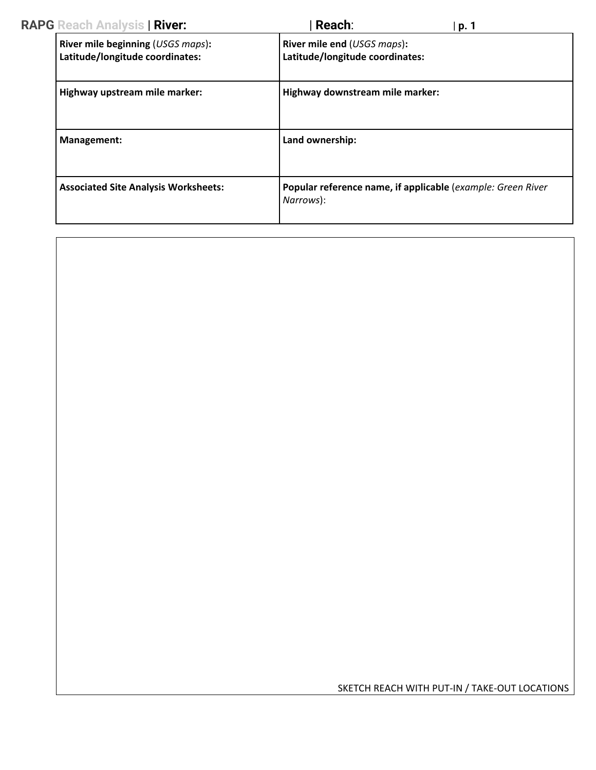| <b>RAPG</b> Reach Analysis   River:                                  | Reach:                                                                   | p. 1 |
|----------------------------------------------------------------------|--------------------------------------------------------------------------|------|
| River mile beginning (USGS maps):<br>Latitude/longitude coordinates: | River mile end (USGS maps):<br>Latitude/longitude coordinates:           |      |
| Highway upstream mile marker:                                        | Highway downstream mile marker:                                          |      |
| Management:                                                          | Land ownership:                                                          |      |
| <b>Associated Site Analysis Worksheets:</b>                          | Popular reference name, if applicable (example: Green River<br>Narrows): |      |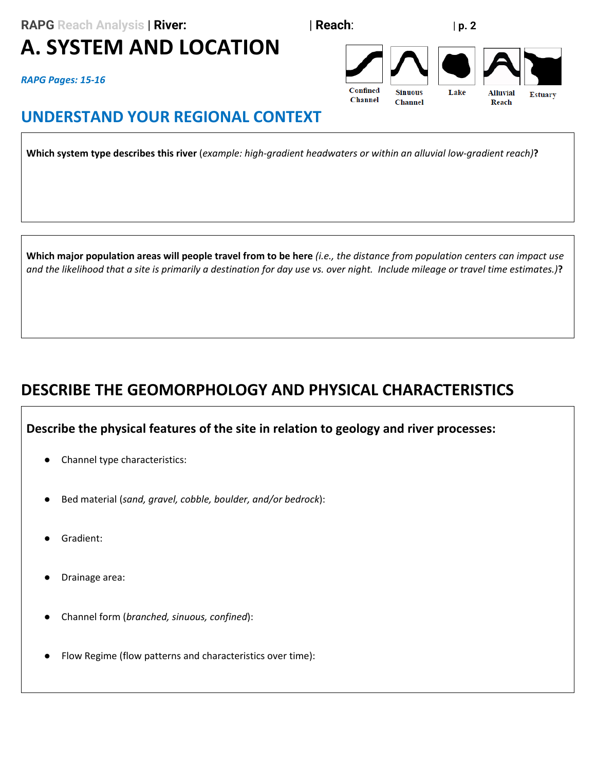**RAPG** Reach Analysis | **River:**  $\qquad \qquad$  | **Reach**:  $\qquad \qquad$  | **p. 2** 

# **A. SYSTEM AND LOCATION**

*RAPG Pages: 15-16* 

### **UNDERSTAND YOUR REGIONAL CONTEXT**

**Which system type describes this river** (*example: high-gradient headwaters or within an alluvial low-gradient reach)***?** 

 **Which major population areas will people travel from to be here** *(i.e., the distance from population centers can impact use and the likelihood that a site is primarily a destination for day use vs. over night. Include mileage or travel time estimates.)***?** 

## **DESCRIBE THE GEOMORPHOLOGY AND PHYSICAL CHARACTERISTICS**

#### **Describe the physical features of the site in relation to geology and river processes:**

- Channel type characteristics:
- Bed material (sand, gravel, cobble, boulder, and/or bedrock):
- Gradient:
- Drainage area:
- Channel form (*branched, sinuous, confined*):
- Flow Regime (flow patterns and characteristics over time):

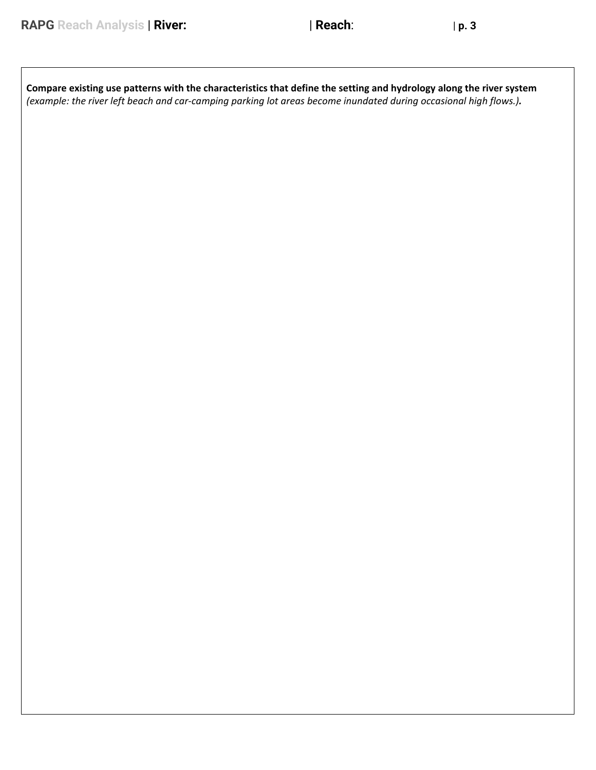| Compare existing use patterns with the characteristics that define the setting and hydrology along the river system |
|---------------------------------------------------------------------------------------------------------------------|
| (example: the river left beach and car-camping parking lot areas become inundated during occasional high flows.).   |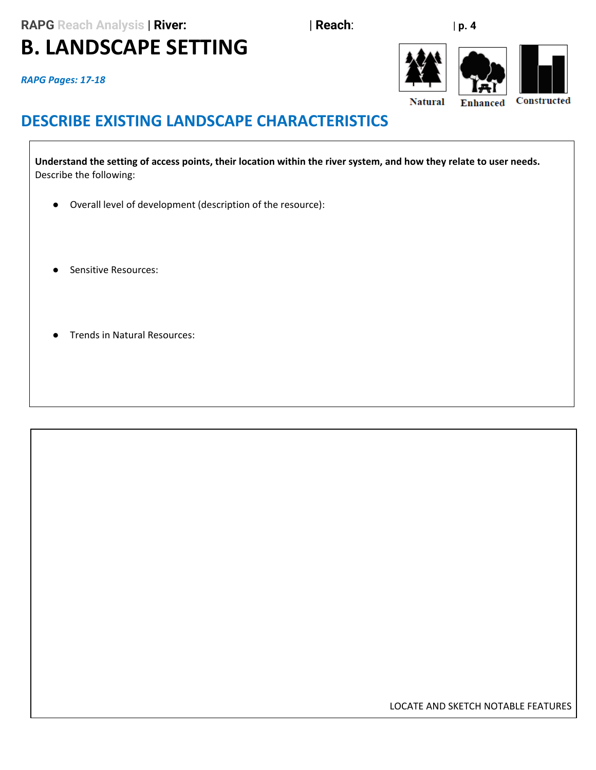**RAPG** Reach Analysis | **River:**  $\qquad \qquad$  | **Reach**:  $\qquad \qquad$  | **p. 4** 

# **B. LANDSCAPE SETTING**

*RAPG Pages: 17-18* 



## **DESCRIBE EXISTING LANDSCAPE CHARACTERISTICS**

 **Understand the setting of access points, their location within the river system, and how they relate to user needs.**  Describe the following:

- Overall level of development (description of the resource):
- Sensitive Resources:
- Trends in Natural Resources:

LOCATE AND SKETCH NOTABLE FEATURES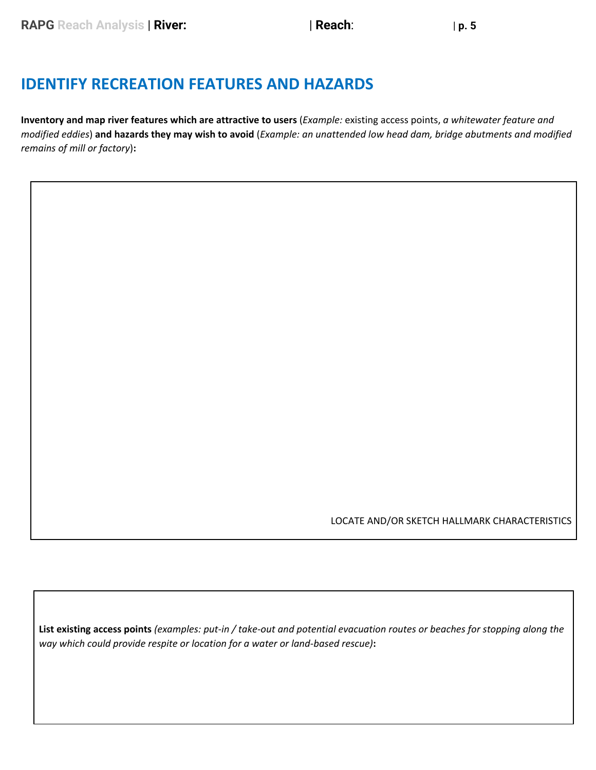#### **IDENTIFY RECREATION FEATURES AND HAZARDS**

 **Inventory and map river features which are attractive to users** (*Example:* existing access points, *a whitewater feature and*   *modified eddies*) **and hazards they may wish to avoid** (*Example: an unattended low head dam, bridge abutments and modified remains of mill or factory*)**:** 

LOCATE AND/OR SKETCH HALLMARK CHARACTERISTICS

**List existing access points** *(examples: put-in / take-out and potential evacuation routes or beaches for stopping along the way which could provide respite or location for a water or land-based rescue)***:**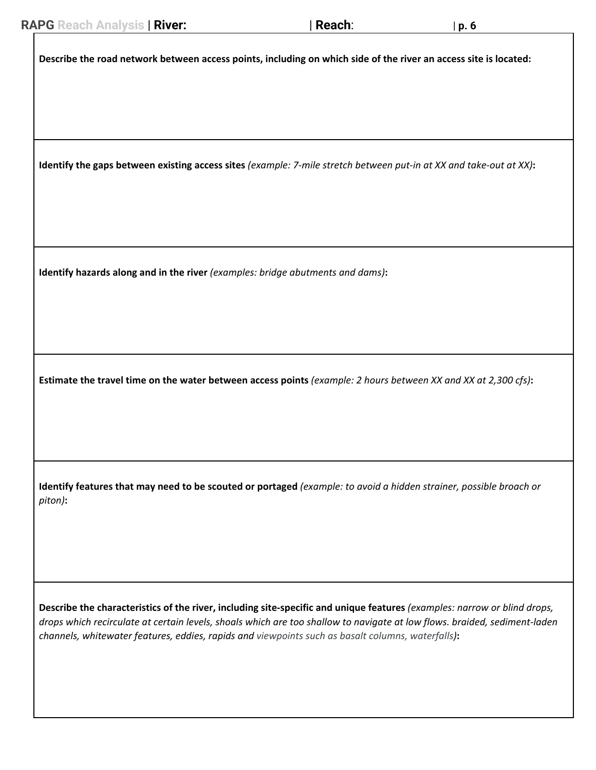**Describe the road network between access points, including on which side of the river an access site is located:** 

 **Identify the gaps between existing access sites** *(example: 7-mile stretch between put-in at XX and take-out at XX)***:** 

 **Identify hazards along and in the river** *(examples: bridge abutments and dams)***:** 

 **Estimate the travel time on the water between access points** *(example: 2 hours between XX and XX at 2,300 cfs)***:** 

 **Identify features that may need to be scouted or portaged** *(example: to avoid a hidden strainer, possible broach or piton)***:** 

**Describe the characteristics of the river, including site-specific and unique features** *(examples: narrow or blind drops, drops which recirculate at certain levels, shoals which are too shallow to navigate at low flows. braided, sediment-laden channels, whitewater features, eddies, rapids and viewpoints such as basalt columns, waterfalls)***:**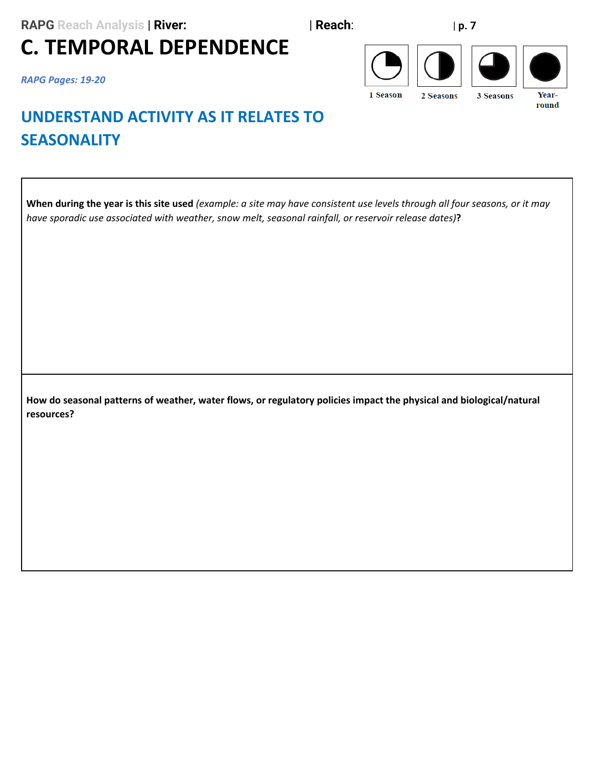# **C. TEMPORAL DEPENDENCE**

*RAPG Pages: 19-20* 



## **UNDERSTAND ACTIVITY AS IT RELATES TO SEASONALITY**

 **When during the year is this site used** *(example: a site may have consistent use levels through all four seasons, or it may have sporadic use associated with weather, snow melt, seasonal rainfall, or reservoir release dates)***?** 

 **How do seasonal patterns of weather, water flows, or regulatory policies impact the physical and biological/natural resources?**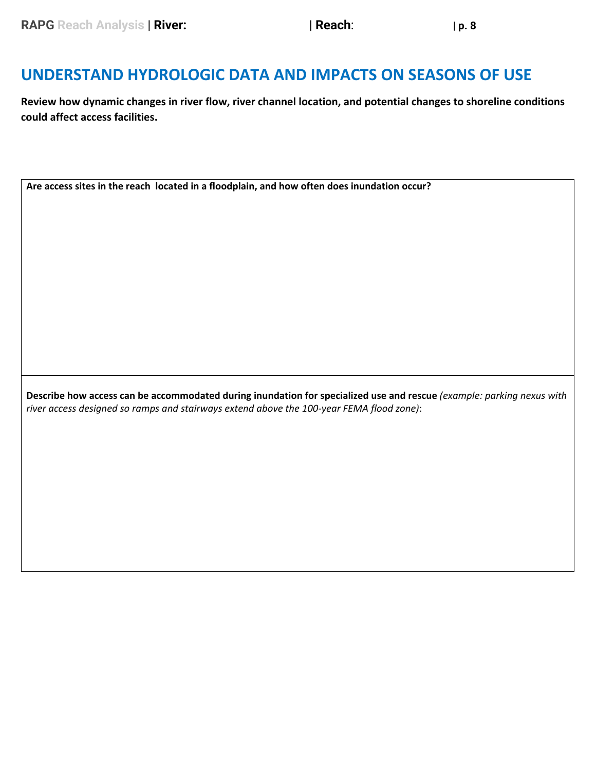#### **UNDERSTAND HYDROLOGIC DATA AND IMPACTS ON SEASONS OF USE**

**Review how dynamic changes in river flow, river channel location, and potential changes to shoreline conditions could affect access facilities.** 

**Are access sites in the reach located in a floodplain, and how often does inundation occur?** 

 **Describe how access can be accommodated during inundation for specialized use and rescue** *(example: parking nexus with river access designed so ramps and stairways extend above the 100-year FEMA flood zone)*: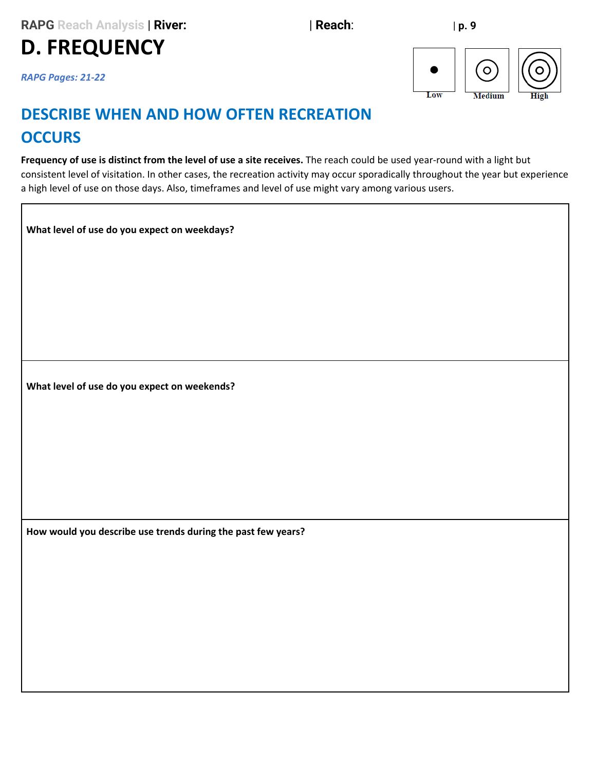**D. FREQUENCY** 



*RAPG Pages: 21-22* 

## **DESCRIBE WHEN AND HOW OFTEN RECREATION OCCURS**

 **Frequency of use is distinct from the level of use a site receives.** The reach could be used year-round with a light but consistent level of visitation. In other cases, the recreation activity may occur sporadically throughout the year but experience a high level of use on those days. Also, timeframes and level of use might vary among various users.

**What level of use do you expect on weekdays?** 

**What level of use do you expect on weekends?** 

 **How would you describe use trends during the past few years?**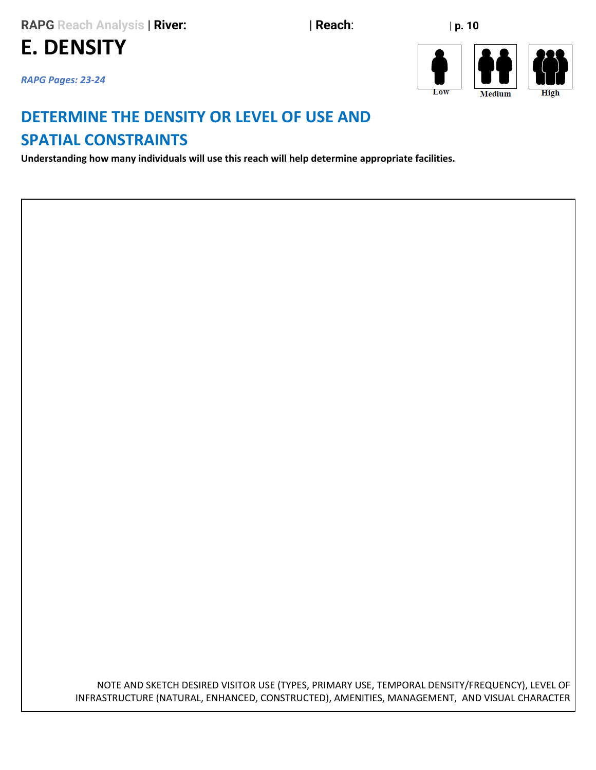**E. DENSITY**

*RAPG Pages: 23-24* 





#### **DETERMINE THE DENSITY OR LEVEL OF USE AND SPATIAL CONSTRAINTS**

**Understanding how many individuals will use this reach will help determine appropriate facilities.** 

 NOTE AND SKETCH DESIRED VISITOR USE (TYPES, PRIMARY USE, TEMPORAL DENSITY/FREQUENCY), LEVEL OF INFRASTRUCTURE (NATURAL, ENHANCED, CONSTRUCTED), AMENITIES, MANAGEMENT, AND VISUAL CHARACTER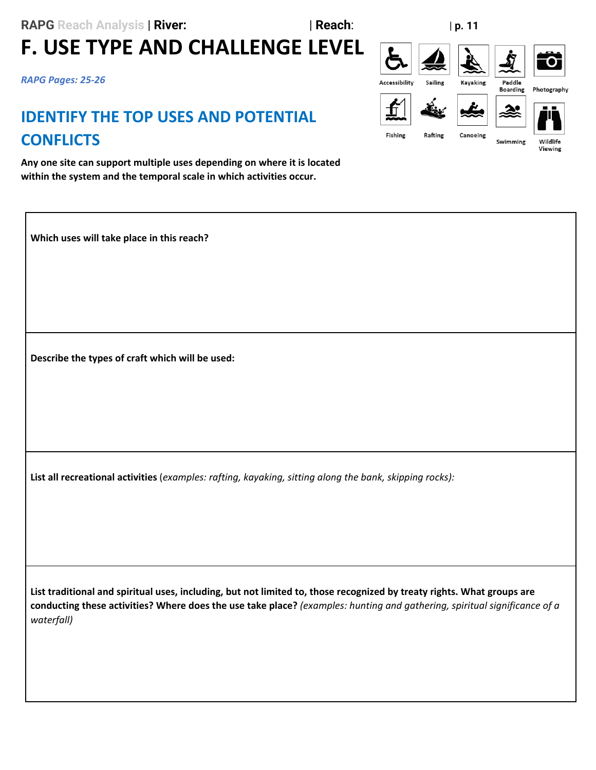## **RAPG** Reach Analysis | **River:**  $\qquad \qquad$  | **Reach**:  $\qquad \qquad$  | **p. 11 F. USE TYPE AND CHALLENGE LEVEL**

*RAPG Pages: 25-26* 

### **IDENTIFY THE TOP USES AND POTENTIAL CONFLICTS**

 **Any one site can support multiple uses depending on where it is located within the system and the temporal scale in which activities occur.** 

**Which uses will take place in this reach?** 

 **Describe the types of craft which will be used:** 

**List all recreational activities** (*examples: rafting, kayaking, sitting along the bank, skipping rocks):* 

 **List traditional and spiritual uses, including, but not limited to, those recognized by treaty rights. What groups are conducting these activities? Where does the use take place?** *(examples: hunting and gathering, spiritual significance of a waterfall)* 

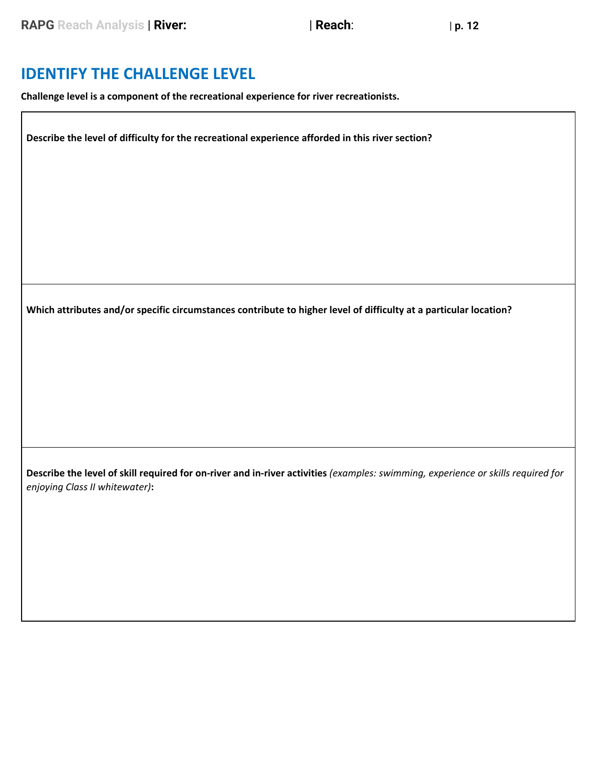#### **IDENTIFY THE CHALLENGE LEVEL**

 **Challenge level is a component of the recreational experience for river recreationists.** 

 **Describe the level of difficulty for the recreational experience afforded in this river section?** 

 **Which attributes and/or specific circumstances contribute to higher level of difficulty at a particular location?** 

 **Describe the level of skill required for on-river and in-river activities** *(examples: swimming, experience or skills required for enjoying Class II whitewater)***:**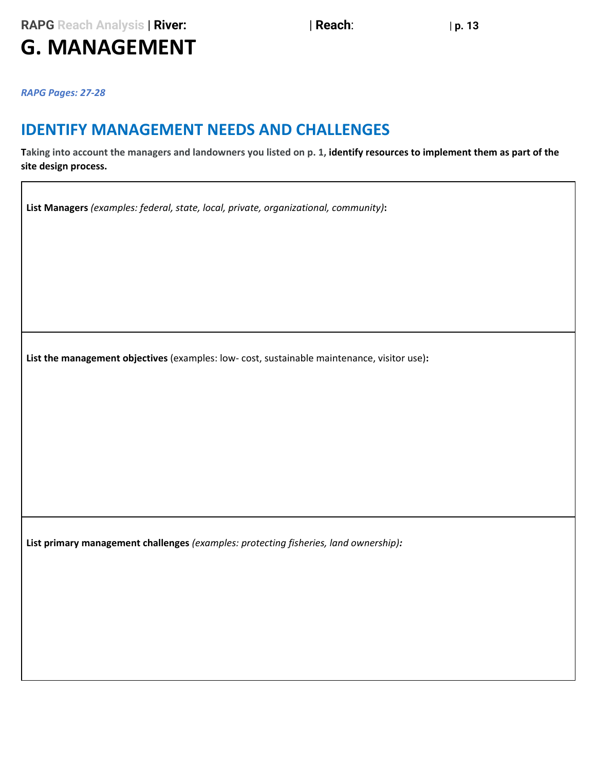**RAPG** Reach Analysis | **River:**  $\qquad \qquad$  | **Reach**:  $\qquad \qquad$  | **p. 13** 

# **G. MANAGEMENT**

*RAPG Pages: 27-28* 

#### **IDENTIFY MANAGEMENT NEEDS AND CHALLENGES**

 **Taking into account the managers and landowners you listed on p. 1, identify resources to implement them as part of the site design process.** 

**List Managers** *(examples: federal, state, local, private, organizational, community)***:** 

**List the management objectives** (examples: low- cost, sustainable maintenance, visitor use)**:** 

**List primary management challenges** *(examples: protecting fisheries, land ownership):*